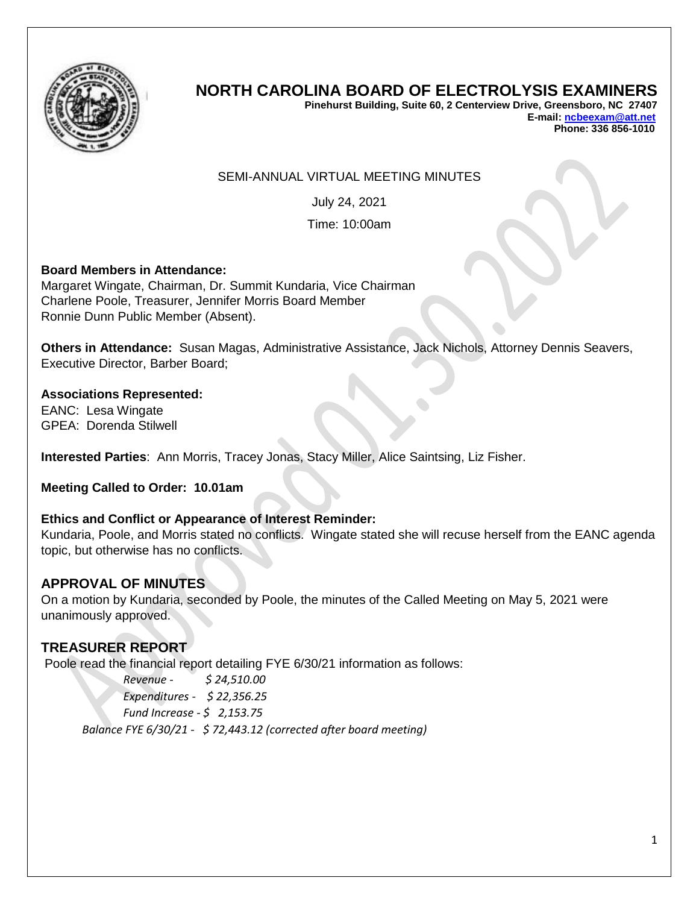

# **NORTH CAROLINA BOARD OF ELECTROLYSIS EXAMINERS**

**Pinehurst Building, Suite 60, 2 Centerview Drive, Greensboro, NC 27407 E-mail[: ncbeexam@att.net](mailto:ncbeexam@att.net) Phone: 336 856-1010** 

#### SEMI-ANNUAL VIRTUAL MEETING MINUTES

July 24, 2021

Time: 10:00am

#### **Board Members in Attendance:**

Margaret Wingate, Chairman, Dr. Summit Kundaria, Vice Chairman Charlene Poole, Treasurer, Jennifer Morris Board Member Ronnie Dunn Public Member (Absent).

**Others in Attendance:** Susan Magas, Administrative Assistance, Jack Nichols, Attorney Dennis Seavers, Executive Director, Barber Board;

**Associations Represented:** EANC: Lesa Wingate GPEA: Dorenda Stilwell

**Interested Parties**: Ann Morris, Tracey Jonas, Stacy Miller, Alice Saintsing, Liz Fisher.

**Meeting Called to Order: 10.01am**

#### **Ethics and Conflict or Appearance of Interest Reminder:**

Kundaria, Poole, and Morris stated no conflicts. Wingate stated she will recuse herself from the EANC agenda topic, but otherwise has no conflicts.

## **APPROVAL OF MINUTES**

On a motion by Kundaria, seconded by Poole, the minutes of the Called Meeting on May 5, 2021 were unanimously approved.

## **TREASURER REPORT**

Poole read the financial report detailing FYE 6/30/21 information as follows:

*Revenue - \$ 24,510.00 Expenditures - \$ 22,356.25 Fund Increase - \$ 2,153.75 Balance FYE 6/30/21 - \$ 72,443.12 (corrected after board meeting)*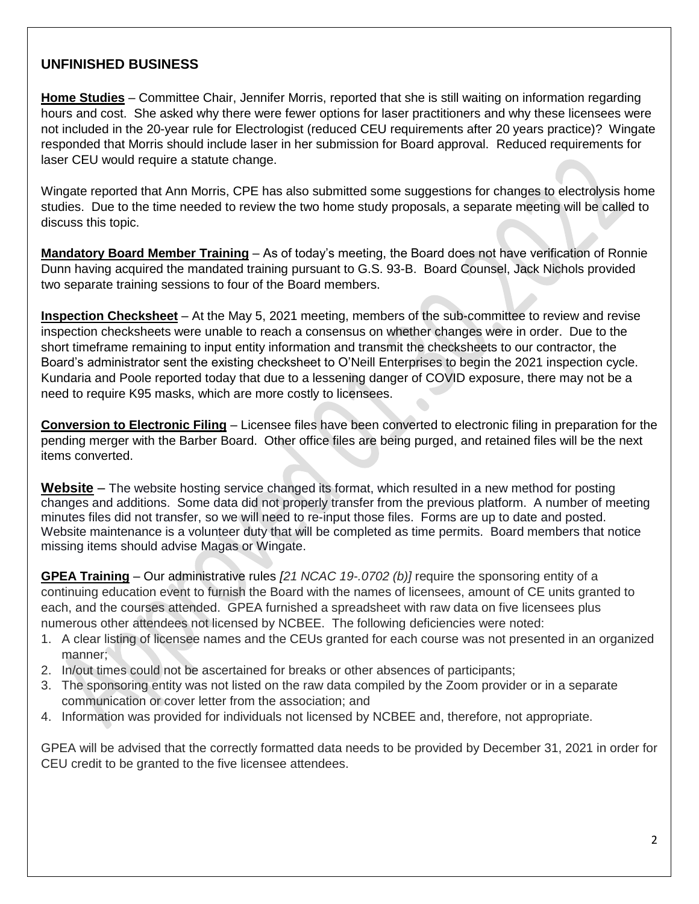# **UNFINISHED BUSINESS**

**Home Studies** – Committee Chair, Jennifer Morris, reported that she is still waiting on information regarding hours and cost. She asked why there were fewer options for laser practitioners and why these licensees were not included in the 20-year rule for Electrologist (reduced CEU requirements after 20 years practice)? Wingate responded that Morris should include laser in her submission for Board approval. Reduced requirements for laser CEU would require a statute change.

Wingate reported that Ann Morris, CPE has also submitted some suggestions for changes to electrolysis home studies. Due to the time needed to review the two home study proposals, a separate meeting will be called to discuss this topic.

**Mandatory Board Member Training** – As of today's meeting, the Board does not have verification of Ronnie Dunn having acquired the mandated training pursuant to G.S. 93-B. Board Counsel, Jack Nichols provided two separate training sessions to four of the Board members.

**Inspection Checksheet** – At the May 5, 2021 meeting, members of the sub-committee to review and revise inspection checksheets were unable to reach a consensus on whether changes were in order. Due to the short timeframe remaining to input entity information and transmit the checksheets to our contractor, the Board's administrator sent the existing checksheet to O'Neill Enterprises to begin the 2021 inspection cycle. Kundaria and Poole reported today that due to a lessening danger of COVID exposure, there may not be a need to require K95 masks, which are more costly to licensees.

**Conversion to Electronic Filing** – Licensee files have been converted to electronic filing in preparation for the pending merger with the Barber Board. Other office files are being purged, and retained files will be the next items converted.

**Website** – The website hosting service changed its format, which resulted in a new method for posting changes and additions. Some data did not properly transfer from the previous platform. A number of meeting minutes files did not transfer, so we will need to re-input those files. Forms are up to date and posted. Website maintenance is a volunteer duty that will be completed as time permits. Board members that notice missing items should advise Magas or Wingate.

**GPEA Training** – Our administrative rules *[21 NCAC 19-.0702 (b)]* require the sponsoring entity of a continuing education event to furnish the Board with the names of licensees, amount of CE units granted to each, and the courses attended. GPEA furnished a spreadsheet with raw data on five licensees plus numerous other attendees not licensed by NCBEE. The following deficiencies were noted:

- 1. A clear listing of licensee names and the CEUs granted for each course was not presented in an organized manner;
- 2. In/out times could not be ascertained for breaks or other absences of participants;
- 3. The sponsoring entity was not listed on the raw data compiled by the Zoom provider or in a separate communication or cover letter from the association; and
- 4. Information was provided for individuals not licensed by NCBEE and, therefore, not appropriate.

GPEA will be advised that the correctly formatted data needs to be provided by December 31, 2021 in order for CEU credit to be granted to the five licensee attendees.